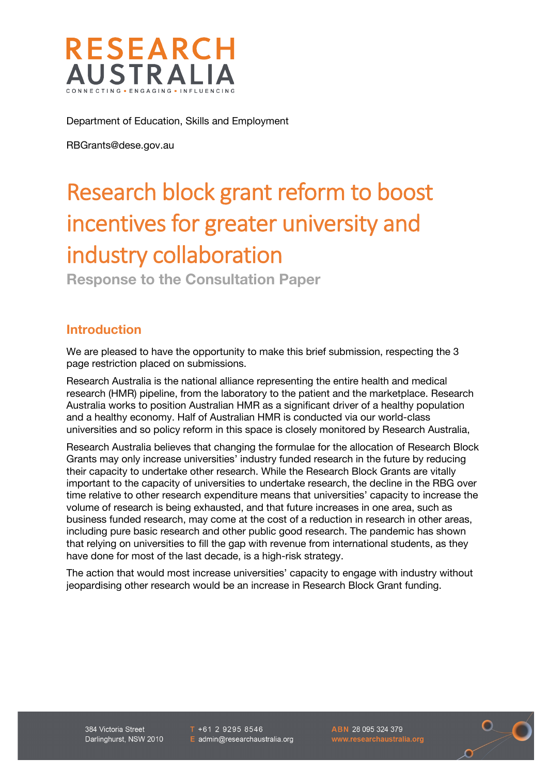

Department of Education, Skills and Employment

RBGrants@dese.gov.au

# Research block grant reform to boost incentives for greater university and industry collaboration

**Response to the Consultation Paper**

#### **Introduction**

We are pleased to have the opportunity to make this brief submission, respecting the 3 page restriction placed on submissions.

Research Australia is the national alliance representing the entire health and medical research (HMR) pipeline, from the laboratory to the patient and the marketplace. Research Australia works to position Australian HMR as a significant driver of a healthy population and a healthy economy. Half of Australian HMR is conducted via our world-class universities and so policy reform in this space is closely monitored by Research Australia,

Research Australia believes that changing the formulae for the allocation of Research Block Grants may only increase universities' industry funded research in the future by reducing their capacity to undertake other research. While the Research Block Grants are vitally important to the capacity of universities to undertake research, the decline in the RBG over time relative to other research expenditure means that universities' capacity to increase the volume of research is being exhausted, and that future increases in one area, such as business funded research, may come at the cost of a reduction in research in other areas, including pure basic research and other public good research. The pandemic has shown that relying on universities to fill the gap with revenue from international students, as they have done for most of the last decade, is a high-risk strategy.

The action that would most increase universities' capacity to engage with industry without jeopardising other research would be an increase in Research Block Grant funding.

384 Victoria Street Darlinghurst, NSW 2010  $T + 61 2 9295 8546$ E admin@researchaustralia.org ABN 28 095 324 379

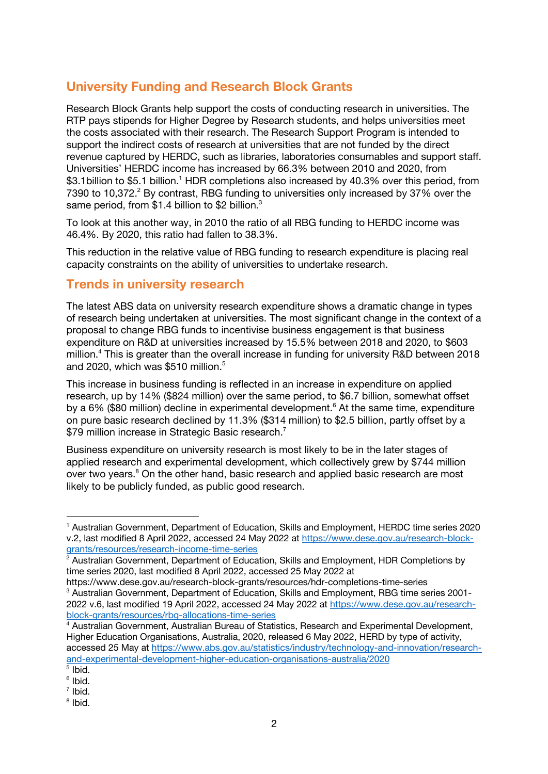## **University Funding and Research Block Grants**

Research Block Grants help support the costs of conducting research in universities. The RTP pays stipends for Higher Degree by Research students, and helps universities meet the costs associated with their research. The Research Support Program is intended to support the indirect costs of research at universities that are not funded by the direct revenue captured by HERDC, such as libraries, laboratories consumables and support staff. Universities' HERDC income has increased by 66.3% between 2010 and 2020, from \$3.1billion to \$5.1 billion.<sup>1</sup> HDR completions also increased by 40.3% over this period, from 7390 to 10,372.<sup>2</sup> By contrast, RBG funding to universities only increased by 37% over the same period, from \$1.4 billion to \$2 billion.<sup>3</sup>

To look at this another way, in 2010 the ratio of all RBG funding to HERDC income was 46.4%. By 2020, this ratio had fallen to 38.3%.

This reduction in the relative value of RBG funding to research expenditure is placing real capacity constraints on the ability of universities to undertake research.

#### **Trends in university research**

The latest ABS data on university research expenditure shows a dramatic change in types of research being undertaken at universities. The most significant change in the context of a proposal to change RBG funds to incentivise business engagement is that business expenditure on R&D at universities increased by 15.5% between 2018 and 2020, to \$603 million. <sup>4</sup> This is greater than the overall increase in funding for university R&D between 2018 and 2020, which was  $$510$  million.<sup>5</sup>

This increase in business funding is reflected in an increase in expenditure on applied research, up by 14% (\$824 million) over the same period, to \$6.7 billion, somewhat offset by a 6% (\$80 million) decline in experimental development.<sup>6</sup> At the same time, expenditure on pure basic research declined by 11.3% (\$314 million) to \$2.5 billion, partly offset by a \$79 million increase in Strategic Basic research.<sup>7</sup>

Business expenditure on university research is most likely to be in the later stages of applied research and experimental development, which collectively grew by \$744 million over two years.<sup>8</sup> On the other hand, basic research and applied basic research are most likely to be publicly funded, as public good research.

<sup>1</sup> Australian Government, Department of Education, Skills and Employment, HERDC time series 2020 v.2, last modified 8 April 2022, accessed 24 May 2022 at https://www.dese.gov.au/research-blockgrants/resources/research-income-time-series

 $2^{2}$  Australian Government, Department of Education, Skills and Employment, HDR Completions by time series 2020, last modified 8 April 2022, accessed 25 May 2022 at

https://www.dese.gov.au/research-block-grants/resources/hdr-completions-time-series <sup>3</sup> Australian Government, Department of Education, Skills and Employment, RBG time series 2001-2022 v.6, last modified 19 April 2022, accessed 24 May 2022 at https://www.dese.gov.au/researchblock-grants/resources/rbg-allocations-time-series

<sup>4</sup> Australian Government, Australian Bureau of Statistics, Research and Experimental Development, Higher Education Organisations, Australia, 2020, released 6 May 2022, HERD by type of activity, accessed 25 May at https://www.abs.gov.au/statistics/industry/technology-and-innovation/researchand-experimental-development-higher-education-organisations-australia/2020

 $\overline{\overline{5}}$  Ibid.

<sup>6</sup> Ibid. <sup>7</sup> Ibid.

<sup>8</sup> Ibid.